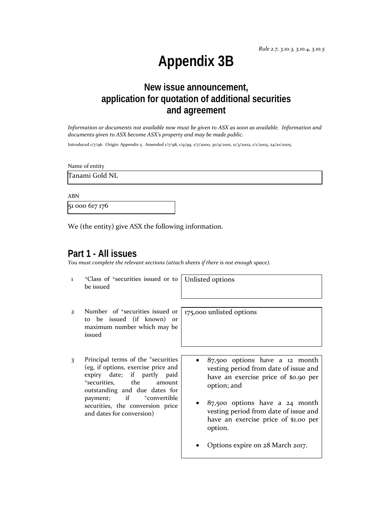*Rule 2.7, 3.10.3, 3.10.4, 3.10.5*

# **Appendix 3B**

## **New issue announcement, application for quotation of additional securities and agreement**

*Information or documents not available now must be given to ASX as soon as available. Information and documents given to ASX become ASX's property and may be made public.*

Introduced 1/7/96. Origin: Appendix 5. Amended 1/7/98, 1/9/99, 1/7/2000, 30/9/2001, 11/3/2002, 1/1/2003, 24/10/2005.

Name of entity

Tanami Gold NL

ABN

51 000 617 176

We (the entity) give ASX the following information.

#### **Part 1 - All issues**

*You must complete the relevant sections (attach sheets if there is not enough space).*

1 +Class of +securities issued or to be issued Unlisted options

175,000 unlisted options

- 2 Number of +securities issued or to be issued (if known) or maximum number which may be issued
- 3 Principal terms of the +securities (eg, if options, exercise price and expiry date; if partly paid <sup>+</sup>securities, the amount outstanding and due dates for payment; if  $+$ convertible securities, the conversion price and dates for conversion)
- 87,500 options have a 12 month vesting period from date of issue and have an exercise price of \$0.90 per option; and
- 87,500 options have a 24 month vesting period from date of issue and have an exercise price of \$1.00 per option.
- Options expire on 28 March 2017.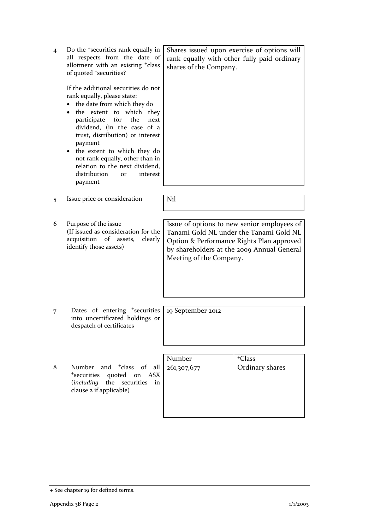| $\overline{4}$ | Do the <sup>+</sup> securities rank equally in<br>all respects from the date of<br>allotment with an existing <sup>+</sup> class<br>of quoted <sup>+</sup> securities?<br>If the additional securities do not<br>rank equally, please state:<br>the date from which they do<br>the extent to which they<br>for<br>the<br>participate<br>next<br>dividend, (in the case of a<br>trust, distribution) or interest<br>payment<br>the extent to which they do<br>not rank equally, other than in<br>relation to the next dividend,<br>distribution<br>interest<br><b>Or</b> | rank equally with other fully paid ordinary<br>shares of the Company. | Shares issued upon exercise of options will                                                                                                                                       |
|----------------|-------------------------------------------------------------------------------------------------------------------------------------------------------------------------------------------------------------------------------------------------------------------------------------------------------------------------------------------------------------------------------------------------------------------------------------------------------------------------------------------------------------------------------------------------------------------------|-----------------------------------------------------------------------|-----------------------------------------------------------------------------------------------------------------------------------------------------------------------------------|
|                | payment                                                                                                                                                                                                                                                                                                                                                                                                                                                                                                                                                                 |                                                                       |                                                                                                                                                                                   |
| 5              | Issue price or consideration                                                                                                                                                                                                                                                                                                                                                                                                                                                                                                                                            | Nil                                                                   |                                                                                                                                                                                   |
|                |                                                                                                                                                                                                                                                                                                                                                                                                                                                                                                                                                                         |                                                                       |                                                                                                                                                                                   |
|                |                                                                                                                                                                                                                                                                                                                                                                                                                                                                                                                                                                         |                                                                       |                                                                                                                                                                                   |
| 6              | Purpose of the issue<br>(If issued as consideration for the<br>acquisition<br>of<br>clearly<br>assets,<br>identify those assets)                                                                                                                                                                                                                                                                                                                                                                                                                                        | Meeting of the Company.                                               | Issue of options to new senior employees of<br>Tanami Gold NL under the Tanami Gold NL<br>Option & Performance Rights Plan approved<br>by shareholders at the 2009 Annual General |
|                |                                                                                                                                                                                                                                                                                                                                                                                                                                                                                                                                                                         |                                                                       |                                                                                                                                                                                   |
| 7              | Dates of entering <sup>+</sup> securities<br>into uncertificated holdings or<br>despatch of certificates                                                                                                                                                                                                                                                                                                                                                                                                                                                                | 19 September 2012                                                     |                                                                                                                                                                                   |
|                |                                                                                                                                                                                                                                                                                                                                                                                                                                                                                                                                                                         |                                                                       |                                                                                                                                                                                   |
|                |                                                                                                                                                                                                                                                                                                                                                                                                                                                                                                                                                                         | Number                                                                | <sup>+</sup> Class                                                                                                                                                                |
| 8              | and <sup>+</sup> class<br>Number<br>of<br>all<br><sup>+</sup> securities<br>quoted<br>on<br><b>ASX</b><br>including)<br>the<br>securities<br>in<br>clause 2 if applicable)                                                                                                                                                                                                                                                                                                                                                                                              | 261,307,677                                                           | Ordinary shares                                                                                                                                                                   |
|                |                                                                                                                                                                                                                                                                                                                                                                                                                                                                                                                                                                         |                                                                       |                                                                                                                                                                                   |

<sup>+</sup> See chapter 19 for defined terms.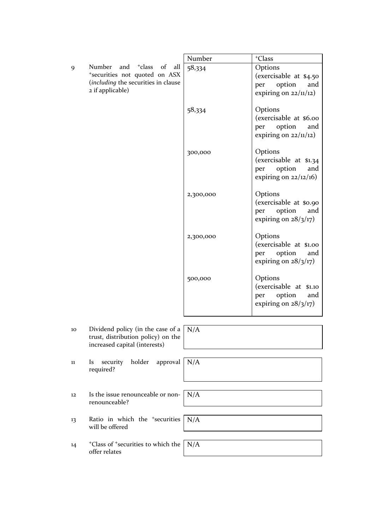|        |                                                                                                                                           | Number    | <sup>+</sup> Class                                                                     |
|--------|-------------------------------------------------------------------------------------------------------------------------------------------|-----------|----------------------------------------------------------------------------------------|
| 9      | Number<br>and <sup>+</sup> class<br>of<br>all<br>*securities not quoted on ASX<br>(including the securities in clause<br>2 if applicable) | 58,334    | Options<br>(exercisable at \$4.50<br>option<br>and<br>per<br>expiring on $22/11/12$ )  |
|        |                                                                                                                                           | 58,334    | Options<br>(exercisable at \$6.00<br>option<br>and<br>per<br>expiring on $22/11/12$ )  |
|        |                                                                                                                                           | 300,000   | Options<br>(exercisable at \$1.34)<br>option<br>and<br>per<br>expiring on $22/12/16$ ) |
|        |                                                                                                                                           | 2,300,000 | Options<br>(exercisable at \$0.90<br>option<br>and<br>per<br>expiring on $28/3/17$ )   |
|        |                                                                                                                                           | 2,300,000 | Options<br>(exercisable at \$1.00<br>option<br>per<br>and<br>expiring on $28/3/17$ )   |
|        |                                                                                                                                           | 500,000   | Options<br>(exercisable at \$1.10<br>option<br>per<br>and<br>expiring on $28/3/17$ )   |
| 10     | Dividend policy (in the case of a $\mid N/A \rangle$<br>trust, distribution policy) on the<br>increased capital (interests)               |           |                                                                                        |
| $11\,$ | holder<br>approval<br>security<br><b>Is</b><br>required?                                                                                  | N/A       |                                                                                        |
| 12     | Is the issue renounceable or non-<br>renounceable?                                                                                        | N/A       |                                                                                        |
| 13     | Ratio in which the <sup>+</sup> securities<br>will be offered                                                                             | N/A       |                                                                                        |
| 14     | <sup>+</sup> Class of <sup>+</sup> securities to which the<br>offer relates                                                               | N/A       |                                                                                        |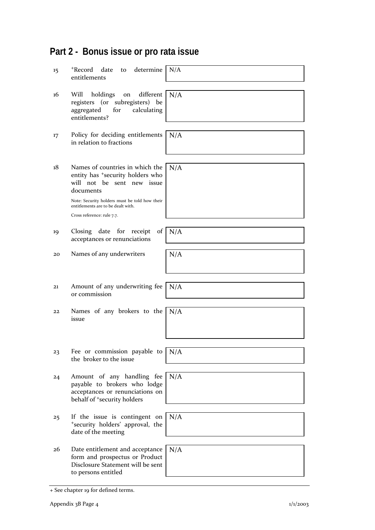## **Part 2 - Bonus issue or pro rata issue**

| 15 | +Record date<br>to determine<br>entitlements                                                                                                                                                                                                    | N/A      |
|----|-------------------------------------------------------------------------------------------------------------------------------------------------------------------------------------------------------------------------------------------------|----------|
| 16 | different<br>Will<br>holdings<br>on<br>registers (or subregisters)<br>be<br>aggregated<br>calculating<br>for<br>entitlements?                                                                                                                   | N/A      |
| 17 | Policy for deciding entitlements<br>in relation to fractions                                                                                                                                                                                    | N/A      |
| 18 | Names of countries in which the<br>entity has <sup>+</sup> security holders who<br>will not be sent new issue<br>documents<br>Note: Security holders must be told how their<br>entitlements are to be dealt with.<br>Cross reference: rule 7.7. | N/A      |
| 19 | Closing date for receipt<br>acceptances or renunciations                                                                                                                                                                                        | of $N/A$ |
| 20 | Names of any underwriters                                                                                                                                                                                                                       | N/A      |
| 21 | Amount of any underwriting fee<br>or commission                                                                                                                                                                                                 | N/A      |
| 22 | Names of any brokers to the<br>issue                                                                                                                                                                                                            | N/A      |
| 23 | Fee or commission payable to<br>the broker to the issue                                                                                                                                                                                         | N/A      |
| 24 | Amount of any handling fee<br>payable to brokers who lodge<br>acceptances or renunciations on<br>behalf of <sup>+</sup> security holders                                                                                                        | N/A      |
| 25 | If the issue is contingent on                                                                                                                                                                                                                   | N/A      |
|    | *security holders' approval, the<br>date of the meeting                                                                                                                                                                                         |          |
| 26 | Date entitlement and acceptance<br>form and prospectus or Product<br>Disclosure Statement will be sent<br>to persons entitled                                                                                                                   | N/A      |

<sup>+</sup> See chapter 19 for defined terms.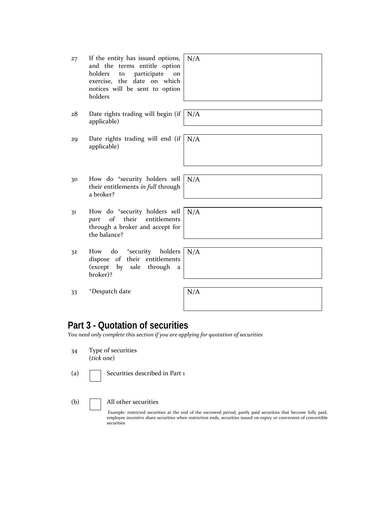| 27 | If the entity has issued options, |
|----|-----------------------------------|
|    | and the terms entitle option      |
|    | holders to participate on         |
|    | exercise, the date on which       |
|    | notices will be sent to option    |
|    | holders                           |

| 28 | Date rights trading will begin (if $\vert$ N |  |
|----|----------------------------------------------|--|
|    | applicable)                                  |  |

- 29 Date rights trading will end (if applicable)
- 30 How do +security holders sell their entitlements *in full* through a broker?
- 31 How do +security holders sell *part* of their entitlements through a broker and accept for the balance?
- 32 How do <sup>+</sup>security holders dispose of their entitlements (except by sale through a broker)?

| N/A |  |  |  |
|-----|--|--|--|
|     |  |  |  |
|     |  |  |  |
|     |  |  |  |
|     |  |  |  |
|     |  |  |  |
|     |  |  |  |
|     |  |  |  |

 $\overline{\overline{\mathsf{I}/\mathsf{A}}}$ 

N/A

N/A

N/A

N/A

33 +Despatch date N/A

## **Part 3 - Quotation of securities**

*You need only complete this section if you are applying for quotation of securities*

- 34 Type of securities (*tick one*)
- 

(a)  $\Box$  Securities described in Part 1

#### (b) All other securities

Example: restricted securities at the end of the escrowed period, partly paid securities that become fully paid, employee incentive share securities when restriction ends, securities issued on expiry or conversion of convertible securities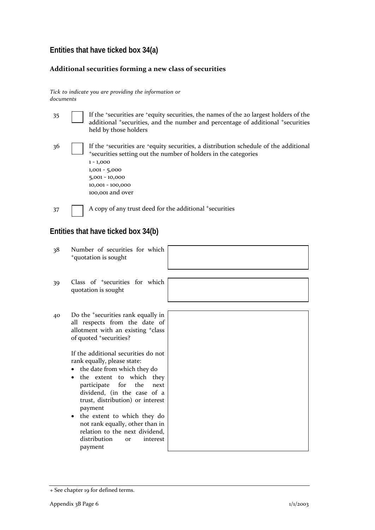### **Entities that have ticked box 34(a)**

#### **Additional securities forming a new class of securities**

*Tick to indicate you are providing the information or documents*

| 35 | If the 'securities are 'equity securities, the names of the 20 largest holders of the<br>additional <sup>+</sup> securities, and the number and percentage of additional <sup>+</sup> securities<br>held by those holders                             |
|----|-------------------------------------------------------------------------------------------------------------------------------------------------------------------------------------------------------------------------------------------------------|
| 36 | If the 'securities are 'equity securities, a distribution schedule of the additional<br>*securities setting out the number of holders in the categories<br>$1 - 1,000$<br>$1,001 - 5,000$<br>$5,001 - 10,000$<br>10,001 - 100,000<br>100,001 and over |
| 37 | A copy of any trust deed for the additional <sup>+</sup> securities                                                                                                                                                                                   |

## **Entities that have ticked box 34(b)**

38 Number of securities for which <sup>+</sup>quotation is sought 39 Class of +securities for which quotation is sought 40 Do the +securities rank equally in all respects from the date of allotment with an existing +class of quoted <sup>+</sup>securities? If the additional securities do not rank equally, please state: • the date from which they do • the extent to which they participate for the next dividend, (in the case of a trust, distribution) or interest payment • the extent to which they do not rank equally, other than in relation to the next dividend, distribution or interest payment

<sup>+</sup> See chapter 19 for defined terms.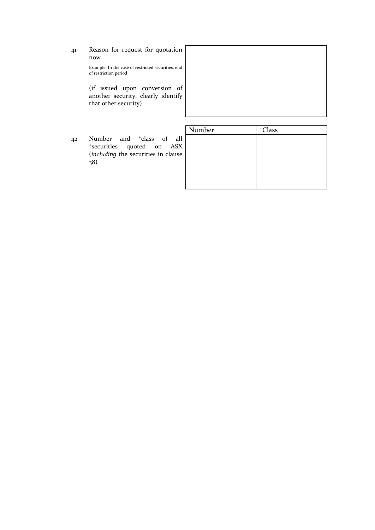41 Reason for request for quotation now

> Example: In the case of restricted securities, end of restriction period

> (if issued upon conversion of another security, clearly identify that other security)



42 Number and <sup>+</sup>class of all <sup>+</sup>securities quoted on ASX (*including* the securities in clause 38)

| Number | $+C$ lass |
|--------|-----------|
|        |           |
|        |           |
|        |           |
|        |           |
|        |           |
|        |           |